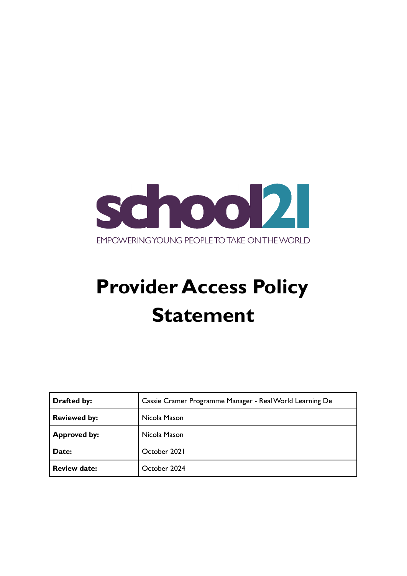

# **Provider Access Policy Statement**

| <b>Drafted by:</b>  | Cassie Cramer Programme Manager - Real World Learning De |  |  |
|---------------------|----------------------------------------------------------|--|--|
| <b>Reviewed by:</b> | Nicola Mason                                             |  |  |
| <b>Approved by:</b> | Nicola Mason                                             |  |  |
| Date:               | October 2021                                             |  |  |
| <b>Review date:</b> | October 2024                                             |  |  |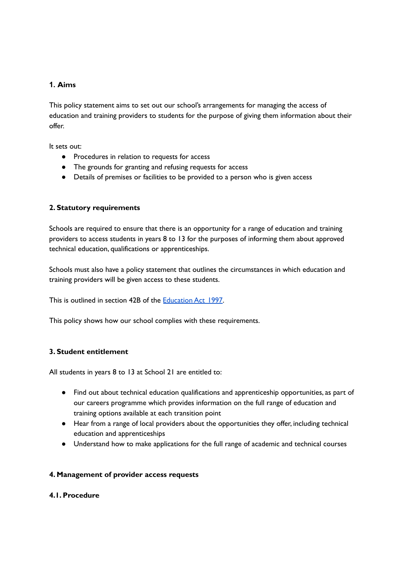# **1. Aims**

This policy statement aims to set out our school's arrangements for managing the access of education and training providers to students for the purpose of giving them information about their offer.

It sets out:

- Procedures in relation to requests for access
- The grounds for granting and refusing requests for access
- Details of premises or facilities to be provided to a person who is given access

## **2. Statutory requirements**

Schools are required to ensure that there is an opportunity for a range of education and training providers to access students in years 8 to 13 for the purposes of informing them about approved technical education, qualifications or apprenticeships.

Schools must also have a policy statement that outlines the circumstances in which education and training providers will be given access to these students.

This is outlined in section 42B of the [Education](https://www.legislation.gov.uk/ukpga/1997/44/section/42B) Act 1997.

This policy shows how our school complies with these requirements.

## **3. Student entitlement**

All students in years 8 to 13 at School 21 are entitled to:

- Find out about technical education qualifications and apprenticeship opportunities, as part of our careers programme which provides information on the full range of education and training options available at each transition point
- Hear from a range of local providers about the opportunities they offer, including technical education and apprenticeships
- Understand how to make applications for the full range of academic and technical courses

## **4. Management of provider access requests**

## **4.1. Procedure**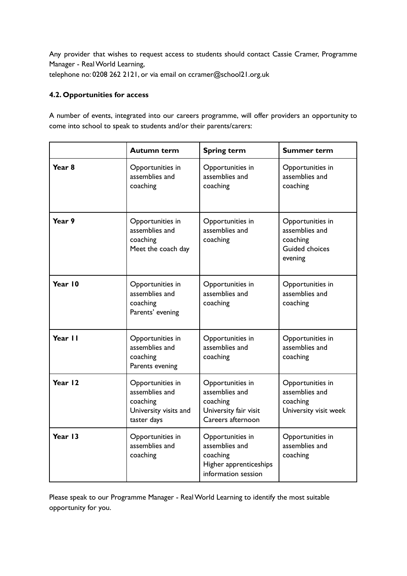Any provider that wishes to request access to students should contact Cassie Cramer, Programme Manager - RealWorld Learning,

telephone no: 0208 262 2121, or via email on ccramer@school21.org.uk

# **4.2. Opportunities for access**

A number of events, integrated into our careers programme, will offer providers an opportunity to come into school to speak to students and/or their parents/carers:

|                   | <b>Autumn term</b>                                                                     | <b>Spring term</b>                                                                              | <b>Summer term</b>                                                                 |
|-------------------|----------------------------------------------------------------------------------------|-------------------------------------------------------------------------------------------------|------------------------------------------------------------------------------------|
| Year <sub>8</sub> | Opportunities in<br>assemblies and<br>coaching                                         | Opportunities in<br>assemblies and<br>coaching                                                  | Opportunities in<br>assemblies and<br>coaching                                     |
| Year 9            | Opportunities in<br>assemblies and<br>coaching<br>Meet the coach day                   | Opportunities in<br>assemblies and<br>coaching                                                  | Opportunities in<br>assemblies and<br>coaching<br><b>Guided choices</b><br>evening |
| Year 10           | Opportunities in<br>assemblies and<br>coaching<br>Parents' evening                     | Opportunities in<br>assemblies and<br>coaching                                                  | Opportunities in<br>assemblies and<br>coaching                                     |
| Year II           | Opportunities in<br>assemblies and<br>coaching<br>Parents evening                      | Opportunities in<br>assemblies and<br>coaching                                                  | Opportunities in<br>assemblies and<br>coaching                                     |
| Year 12           | Opportunities in<br>assemblies and<br>coaching<br>University visits and<br>taster days | Opportunities in<br>assemblies and<br>coaching<br>University fair visit<br>Careers afternoon    | Opportunities in<br>assemblies and<br>coaching<br>University visit week            |
| Year 13           | Opportunities in<br>assemblies and<br>coaching                                         | Opportunities in<br>assemblies and<br>coaching<br>Higher apprenticeships<br>information session | Opportunities in<br>assemblies and<br>coaching                                     |

Please speak to our Programme Manager - RealWorld Learning to identify the most suitable opportunity for you.